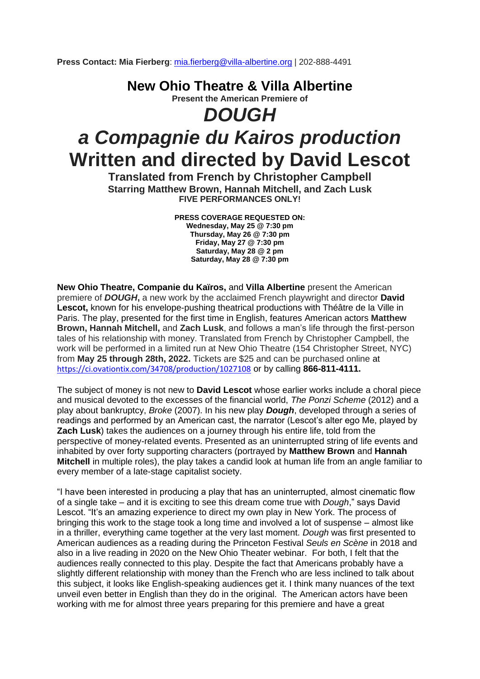**Press Contact: Mia Fierberg**: [mia.fierberg@villa-albertine.org](mailto:mia.fierberg@villa-albertine.org) | 202-888-4491

**New Ohio Theatre & Villa Albertine Present the American Premiere of**

## *DOUGH a Compagnie du Kairos production* **Written and directed by David Lescot**

**Translated from French by Christopher Campbell Starring Matthew Brown, Hannah Mitchell, and Zach Lusk FIVE PERFORMANCES ONLY!**

> **PRESS COVERAGE REQUESTED ON: Wednesday, May 25 @ 7:30 pm Thursday, May 26 @ 7:30 pm Friday, May 27 @ 7:30 pm Saturday, May 28 @ 2 pm Saturday, May 28 @ 7:30 pm**

**New Ohio Theatre, Companie du Kaïros,** and **Villa Albertine** present the American premiere of *DOUGH***,** a new work by the acclaimed French playwright and director **David Lescot,** known for his envelope-pushing theatrical productions with Théâtre de la Ville in Paris. The play, presented for the first time in English, features American actors **Matthew Brown, Hannah Mitchell,** and **Zach Lusk**, and follows a man's life through the first-person tales of his relationship with money. Translated from French by Christopher Campbell, the work will be performed in a limited run at New Ohio Theatre (154 Christopher Street, NYC) from **May 25 through 28th, 2022.** Tickets are \$25 and can be purchased online at <https://ci.ovationtix.com/34708/production/1027108> or by calling **866-811-4111.**

The subject of money is not new to **David Lescot** whose earlier works include a choral piece and musical devoted to the excesses of the financial world, *The Ponzi Scheme* (2012) and a play about bankruptcy, *Broke* (2007). In his new play *Dough*, developed through a series of readings and performed by an American cast, the narrator (Lescot's alter ego Me, played by **Zach Lusk**) takes the audiences on a journey through his entire life, told from the perspective of money-related events. Presented as an uninterrupted string of life events and inhabited by over forty supporting characters (portrayed by **Matthew Brown** and **Hannah Mitchell** in multiple roles), the play takes a candid look at human life from an angle familiar to every member of a late-stage capitalist society.

"I have been interested in producing a play that has an uninterrupted, almost cinematic flow of a single take – and it is exciting to see this dream come true with *Dough*," says David Lescot. "It's an amazing experience to direct my own play in New York. The process of bringing this work to the stage took a long time and involved a lot of suspense – almost like in a thriller, everything came together at the very last moment. *Dough* was first presented to American audiences as a reading during the Princeton Festival *Seuls en Scène* in 2018 and also in a live reading in 2020 on the New Ohio Theater webinar. For both, I felt that the audiences really connected to this play. Despite the fact that Americans probably have a slightly different relationship with money than the French who are less inclined to talk about this subject, it looks like English-speaking audiences get it. I think many nuances of the text unveil even better in English than they do in the original. The American actors have been working with me for almost three years preparing for this premiere and have a great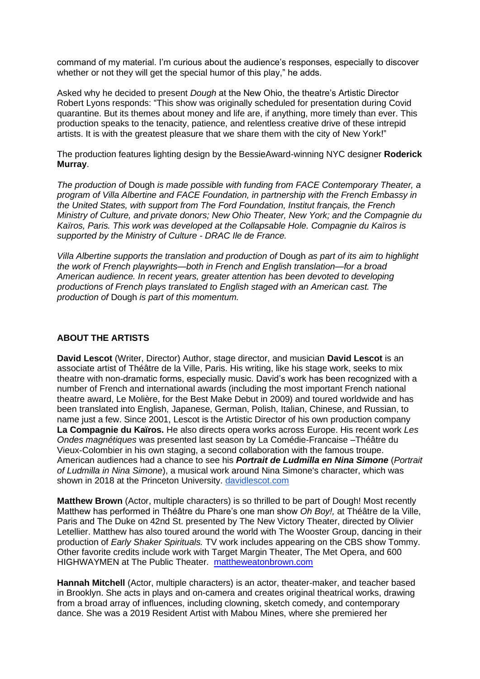command of my material. I'm curious about the audience's responses, especially to discover whether or not they will get the special humor of this play," he adds.

Asked why he decided to present *Dough* at the New Ohio, the theatre's Artistic Director Robert Lyons responds: "This show was originally scheduled for presentation during Covid quarantine. But its themes about money and life are, if anything, more timely than ever. This production speaks to the tenacity, patience, and relentless creative drive of these intrepid artists. It is with the greatest pleasure that we share them with the city of New York!"

The production features lighting design by the BessieAward-winning NYC designer **Roderick Murray**.

*The production of* Dough *is made possible with funding from FACE Contemporary Theater, a program of Villa Albertine and FACE Foundation, in partnership with the French Embassy in the United States, with support from The Ford Foundation, Institut français, the French Ministry of Culture, and private donors; New Ohio Theater, New York; and the Compagnie du Kaïros, Paris. This work was developed at the Collapsable Hole. Compagnie du Kaïros is supported by the Ministry of Culture - DRAC Ile de France.*

*Villa Albertine supports the translation and production of Dough as part of its aim to highlight the work of French playwrights—both in French and English translation—for a broad American audience. In recent years, greater attention has been devoted to developing productions of French plays translated to English staged with an American cast. The production of* Dough *is part of this momentum.* 

## **ABOUT THE ARTISTS**

**David Lescot** (Writer, Director) Author, stage director, and musician **David Lescot** is an associate artist of Théâtre de la Ville, Paris. His writing, like his stage work, seeks to mix theatre with non-dramatic forms, especially music. David's work has been recognized with a number of French and international awards (including the most important French national theatre award, Le Molière, for the Best Make Debut in 2009) and toured worldwide and has been translated into English, Japanese, German, Polish, Italian, Chinese, and Russian, to name just a few. Since 2001, Lescot is the Artistic Director of his own production company **La Compagnie du Kaïros.** He also directs opera works across Europe. His recent work *Les Ondes magnétiques* was presented last season by La Comédie-Francaise –Théâtre du Vieux-Colombier in his own staging, a second collaboration with the famous troupe. American audiences had a chance to see his *Portrait de Ludmilla en Nina Simone* (*Portrait of Ludmilla in Nina Simone*), a musical work around Nina Simone's character, which was shown in 2018 at the Princeton University. [davidlescot.com](http://davidlescot.com/)

**Matthew Brown** (Actor, multiple characters) is so thrilled to be part of Dough! Most recently Matthew has performed in Théâtre du Phare's one man show *Oh Boy!,* at Théâtre de la Ville, Paris and The Duke on 42nd St. presented by The New Victory Theater, directed by Olivier Letellier. Matthew has also toured around the world with The Wooster Group, dancing in their production of *Early Shaker Spirituals.* TV work includes appearing on the CBS show Tommy. Other favorite credits include work with Target Margin Theater, The Met Opera, and 600 HIGHWAYMEN at The Public Theater. [mattheweatonbrown.com](http://mattheweatonbrown.com/)

**Hannah Mitchell** (Actor, multiple characters) is an actor, theater-maker, and teacher based in Brooklyn. She acts in plays and on-camera and creates original theatrical works, drawing from a broad array of influences, including clowning, sketch comedy, and contemporary dance. She was a 2019 Resident Artist with Mabou Mines, where she premiered her